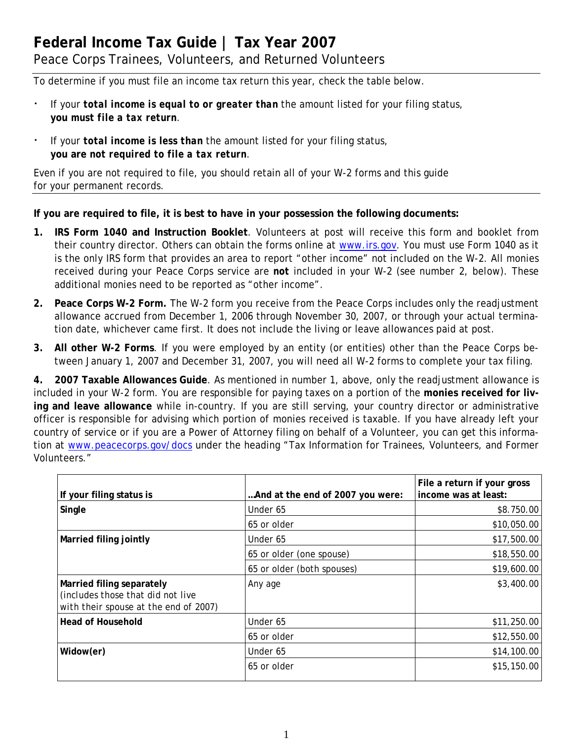# **Federal Income Tax Guide | Tax Year 2007**  Peace Corps Trainees, Volunteers, and Returned Volunteers

To determine if you must file an income tax return this year, check the table below.

- If your *total income is equal to or greater than* the amount listed for your filing status, **you** *must file a tax return*.
- If your *total income is less than* the amount listed for your filing status, **you are** *not required to file a tax return*.

Even if you are not required to file, you should retain all of your W-2 forms and this guide for your permanent records.

**If you are required to file, it is best to have in your possession the following documents:** 

- **IRS Form 1040 and Instruction Booklet**. Volunteers at post will receive this form and booklet from their country director. Others can obtain the forms online at [www.irs.gov.](http://www.irs.gov/) You must use Form 1040 as it **1.**  is the only IRS form that provides an area to report "other income" not included on the W-2. All monies received during your Peace Corps service are *not* included in your W-2 *(see number 2, below)*. These additional monies need to be reported as "other income".
- **2. Peace Corps W-2 Form.** The W-2 form you receive from the Peace Corps includes only the readjustment allowance accrued from December 1, 2006 through November 30, 2007, or through your actual termination date, whichever came first. It does not include the living or leave allowances paid at post.
- **3. All other W-2 Forms**. If you were employed by an entity (or entities) other than the Peace Corps between January 1, 2007 and December 31, 2007, you will need all W-2 forms to complete your tax filing.

tion at [www.p](http://www.peacecorps.gov/docs)eacecorps.gov/docs under the heading "Tax Information for Trainees, Volunteers, and Former **4. 2007 Taxable Allowances Guide**. As mentioned in number 1, above, only the readjustment allowance is included in your W-2 form. You are responsible for paying taxes on a portion of the **monies received for living and leave allowance** while in-country. If you are still serving, your country director or administrative officer is responsible for advising which portion of monies received is taxable. If you have already left your country of service or if you are a Power of Attorney filing on behalf of a Volunteer, you can get this informa-Volunteers."

| If your filing status is                                                                                | And at the end of 2007 you were: | File a return if your gross<br>income was at least: |
|---------------------------------------------------------------------------------------------------------|----------------------------------|-----------------------------------------------------|
| Single                                                                                                  | Under 65                         | \$8.750.00                                          |
|                                                                                                         | 65 or older                      | \$10,050.00                                         |
| Married filing jointly                                                                                  | Under 65                         | \$17,500.00                                         |
|                                                                                                         | 65 or older (one spouse)         | \$18,550.00                                         |
|                                                                                                         | 65 or older (both spouses)       | \$19,600.00                                         |
| Married filing separately<br>(includes those that did not live<br>with their spouse at the end of 2007) | Any age                          | \$3,400.00                                          |
| <b>Head of Household</b>                                                                                | Under 65                         | \$11,250.00                                         |
|                                                                                                         | 65 or older                      | \$12,550.00                                         |
| Widow(er)                                                                                               | Under 65                         | \$14,100.00                                         |
|                                                                                                         | 65 or older                      | \$15,150.00                                         |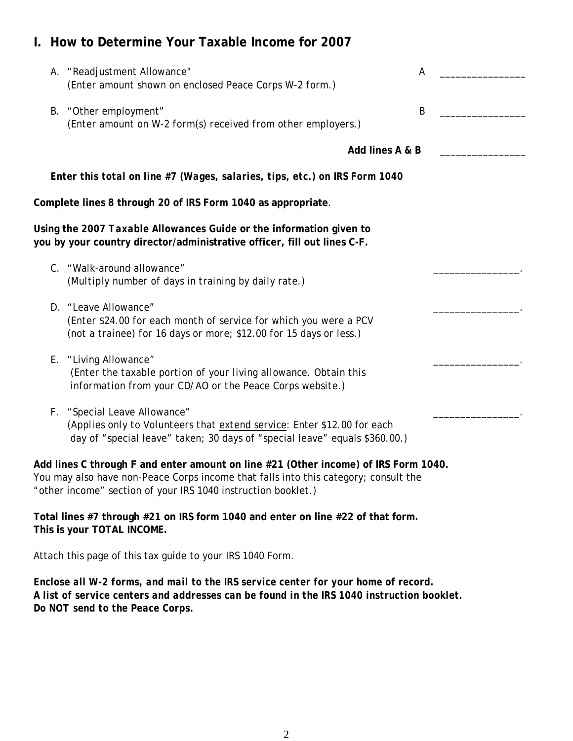## **I. How to Determine Your Taxable Income for 2007**

| A. "Readjustment Allowance"<br>А<br>(Enter amount shown on enclosed Peace Corps W-2 form.)                                                                                                                                                  |  |
|---------------------------------------------------------------------------------------------------------------------------------------------------------------------------------------------------------------------------------------------|--|
| B. "Other employment"<br>B<br>(Enter amount on W-2 form(s) received from other employers.)                                                                                                                                                  |  |
| Add lines A & B                                                                                                                                                                                                                             |  |
| Enter this total on line #7 (Wages, salaries, tips, etc.) on IRS Form 1040                                                                                                                                                                  |  |
| Complete lines 8 through 20 of IRS Form 1040 as appropriate.                                                                                                                                                                                |  |
| Using the 2007 Taxable Allowances Guide or the information given to<br>you by your country director/administrative officer, fill out lines C-F.                                                                                             |  |
| C. "Walk-around allowance"<br>(Multiply number of days in training by daily rate.)                                                                                                                                                          |  |
| D. "Leave Allowance"<br>(Enter \$24.00 for each month of service for which you were a PCV<br>(not a trainee) for 16 days or more; \$12.00 for 15 days or less.)                                                                             |  |
| E. "Living Allowance"<br>(Enter the taxable portion of your living allowance. Obtain this<br>information from your CD/AO or the Peace Corps website.)                                                                                       |  |
| F. "Special Leave Allowance"<br>(Applies only to Volunteers that extend service: Enter \$12.00 for each<br>day of "special leave" taken; 30 days of "special leave" equals \$360.00.)                                                       |  |
| Add lines C through F and enter amount on line #21 (Other income) of IRS Form 1040.<br>You may also have non-Peace Corps income that falls into this category; consult the<br>"other income" section of your IRS 1040 instruction booklet.) |  |
| Total lines #7 through #21 on IRS form 1040 and enter on line #22 of that form.                                                                                                                                                             |  |

**This is your TOTAL INCOME.** 

Attach this page of this tax guide to your IRS 1040 Form.

*Enclose all W-2 forms, and mail to the IRS service center for your home of record. A list of service centers and addresses can be found in the IRS 1040 instruction booklet. Do NOT send to the Peace Corps.*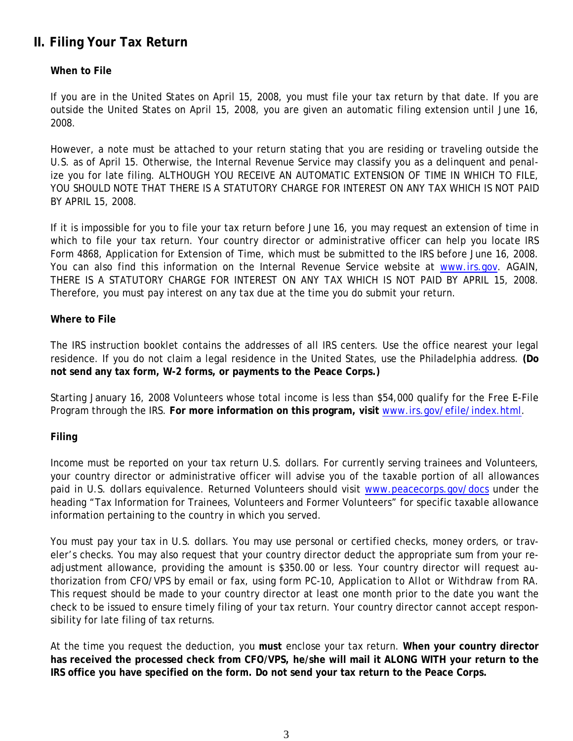## **II. Filing Your Tax Return**

#### **When to File**

If you are in the United States on April 15, 2008, you must file your tax return by that date. If you are outside the United States on April 15, 2008, you are given an automatic filing extension until June 16, 2008.

However, a note must be attached to your return stating that you are residing or traveling outside the U.S. as of April 15. Otherwise, the Internal Revenue Service may classify you as a delinquent and penalize you for late filing. ALTHOUGH YOU RECEIVE AN AUTOMATIC EXTENSION OF TIME IN WHICH TO FILE, YOU SHOULD NOTE THAT THERE IS A STATUTORY CHARGE FOR INTEREST ON ANY TAX WHICH IS NOT PAID BY APRIL 15, 2008.

If it is impossible for you to file your tax return before June 16, you may request an extension of time in which to file your tax return. Your country director or administrative officer can help you locate IRS Form 4868, Application for Extension of Time, which must be submitted to the IRS before June 16, 2008. You can also find this information on the Internal Revenue Service website at [www.irs.gov.](http://www.irs.gov/) AGAIN, THERE IS A STATUTORY CHARGE FOR INTEREST ON ANY TAX WHICH IS NOT PAID BY APRIL 15, 2008. Therefore, you must pay interest on any tax due at the time you do submit your return.

#### **Where to File**

The IRS instruction booklet contains the addresses of all IRS centers. Use the office nearest your legal residence. If you do not claim a legal residence in the United States, use the Philadelphia address. **(Do not send any tax form, W-2 forms, or payments to the Peace Corps.)** 

Starting January 16, 2008 Volunteers whose total income is less than \$54,000 qualify for the Free E-File Program through the IRS. **For more information on this program, visit** www.irs.gov/efile/index.html.

### **Filing**

Income must be reported on your tax return U.S. dollars. For currently serving trainees and Volunteers, your country director or administrative officer will advise you of the taxable portion of all allowances paid in U.S. dollars equivalence. Returned Volunteers should visit [www.peacecorps.gov/docs](http://www.peacecorps.gov/docs) under the heading "Tax Information for Trainees, Volunteers and Former Volunteers" for specific taxable allowance information pertaining to the country in which you served.

You must pay your tax in U.S. dollars. You may use personal or certified checks, money orders, or traveler's checks. You may also request that your country director deduct the appropriate sum from your readjustment allowance, providing the amount is \$350.00 or less. Your country director will request authorization from CFO/VPS by email or fax, using form PC-10*, Application to Allot or Withdraw from RA*. This request should be made to your country director at least one month prior to the date you want the check to be issued to ensure timely filing of your tax return. Your country director cannot accept responsibility for late filing of tax returns.

At the time you request the deduction, you *must* enclose your tax return. **When your country director has received the processed check from CFO/VPS, he/she will mail it ALONG WITH your return to the IRS office you have specified on the form. Do not send your tax return to the Peace Corps.**